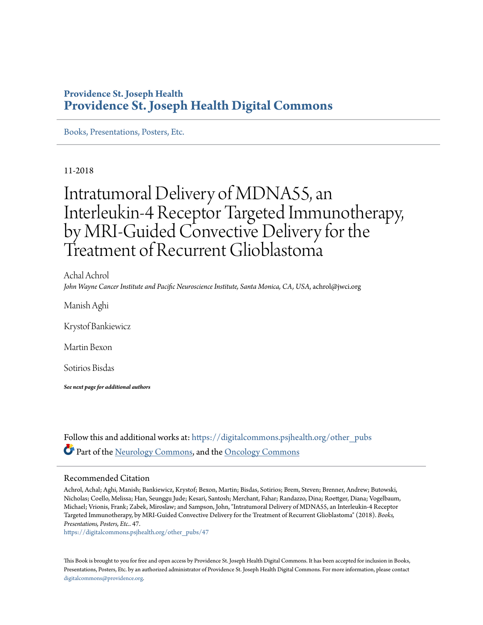#### **Providence St. Joseph Health [Providence St. Joseph Health Digital Commons](https://digitalcommons.psjhealth.org?utm_source=digitalcommons.psjhealth.org%2Fother_pubs%2F47&utm_medium=PDF&utm_campaign=PDFCoverPages)**

[Books, Presentations, Posters, Etc.](https://digitalcommons.psjhealth.org/other_pubs?utm_source=digitalcommons.psjhealth.org%2Fother_pubs%2F47&utm_medium=PDF&utm_campaign=PDFCoverPages)

11-2018

#### Intratumoral Delivery of MDNA55, an Interleukin-4 Receptor Targeted Immunotherapy, by MRI-Guided Convective Delivery for the Treatment of Recurrent Glioblastoma

Achal Achrol *John Wayne Cancer Institute and Pacific Neuroscience Institute, Santa Monica, CA, USA*, achrol@jwci.org

Manish Aghi

Krystof Bankiewicz

Martin Bexon

Sotirios Bisdas

*See next page for additional authors*

Follow this and additional works at: [https://digitalcommons.psjhealth.org/other\\_pubs](https://digitalcommons.psjhealth.org/other_pubs?utm_source=digitalcommons.psjhealth.org%2Fother_pubs%2F47&utm_medium=PDF&utm_campaign=PDFCoverPages) Part of the [Neurology Commons](http://network.bepress.com/hgg/discipline/692?utm_source=digitalcommons.psjhealth.org%2Fother_pubs%2F47&utm_medium=PDF&utm_campaign=PDFCoverPages), and the [Oncology Commons](http://network.bepress.com/hgg/discipline/694?utm_source=digitalcommons.psjhealth.org%2Fother_pubs%2F47&utm_medium=PDF&utm_campaign=PDFCoverPages)

#### Recommended Citation

Achrol, Achal; Aghi, Manish; Bankiewicz, Krystof; Bexon, Martin; Bisdas, Sotirios; Brem, Steven; Brenner, Andrew; Butowski, Nicholas; Coello, Melissa; Han, Seunggu Jude; Kesari, Santosh; Merchant, Fahar; Randazzo, Dina; Roettger, Diana; Vogelbaum, Michael; Vrionis, Frank; Zabek, Miroslaw; and Sampson, John, "Intratumoral Delivery of MDNA55, an Interleukin-4 Receptor Targeted Immunotherapy, by MRI-Guided Convective Delivery for the Treatment of Recurrent Glioblastoma" (2018). *Books, Presentations, Posters, Etc.*. 47.

[https://digitalcommons.psjhealth.org/other\\_pubs/47](https://digitalcommons.psjhealth.org/other_pubs/47?utm_source=digitalcommons.psjhealth.org%2Fother_pubs%2F47&utm_medium=PDF&utm_campaign=PDFCoverPages)

This Book is brought to you for free and open access by Providence St. Joseph Health Digital Commons. It has been accepted for inclusion in Books, Presentations, Posters, Etc. by an authorized administrator of Providence St. Joseph Health Digital Commons. For more information, please contact [digitalcommons@providence.org](mailto:digitalcommons@providence.org).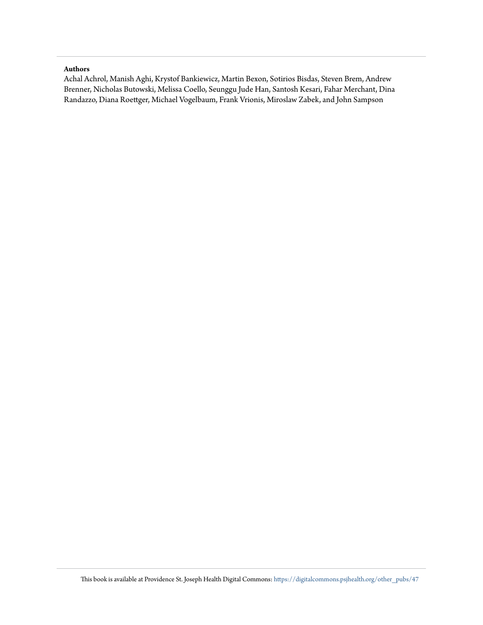#### **Authors**

Achal Achrol, Manish Aghi, Krystof Bankiewicz, Martin Bexon, Sotirios Bisdas, Steven Brem, Andrew Brenner, Nicholas Butowski, Melissa Coello, Seunggu Jude Han, Santosh Kesari, Fahar Merchant, Dina Randazzo, Diana Roettger, Michael Vogelbaum, Frank Vrionis, Miroslaw Zabek, and John Sampson